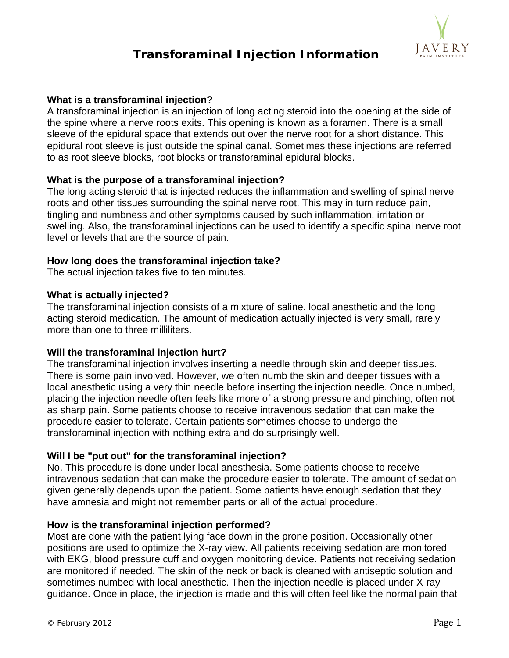

# **Transforaminal Injection Information**

## **What is a transforaminal injection?**

A transforaminal injection is an injection of long acting steroid into the opening at the side of the spine where a nerve roots exits. This opening is known as a foramen. There is a small sleeve of the epidural space that extends out over the nerve root for a short distance. This epidural root sleeve is just outside the spinal canal. Sometimes these injections are referred to as root sleeve blocks, root blocks or transforaminal epidural blocks.

## **What is the purpose of a transforaminal injection?**

The long acting steroid that is injected reduces the inflammation and swelling of spinal nerve roots and other tissues surrounding the spinal nerve root. This may in turn reduce pain, tingling and numbness and other symptoms caused by such inflammation, irritation or swelling. Also, the transforaminal injections can be used to identify a specific spinal nerve root level or levels that are the source of pain.

## **How long does the transforaminal injection take?**

The actual injection takes five to ten minutes.

## **What is actually injected?**

The transforaminal injection consists of a mixture of saline, local anesthetic and the long acting steroid medication. The amount of medication actually injected is very small, rarely more than one to three milliliters.

# **Will the transforaminal injection hurt?**

The transforaminal injection involves inserting a needle through skin and deeper tissues. There is some pain involved. However, we often numb the skin and deeper tissues with a local anesthetic using a very thin needle before inserting the injection needle. Once numbed, placing the injection needle often feels like more of a strong pressure and pinching, often not as sharp pain. Some patients choose to receive intravenous sedation that can make the procedure easier to tolerate. Certain patients sometimes choose to undergo the transforaminal injection with nothing extra and do surprisingly well.

# **Will I be "put out" for the transforaminal injection?**

No. This procedure is done under local anesthesia. Some patients choose to receive intravenous sedation that can make the procedure easier to tolerate. The amount of sedation given generally depends upon the patient. Some patients have enough sedation that they have amnesia and might not remember parts or all of the actual procedure.

### **How is the transforaminal injection performed?**

Most are done with the patient lying face down in the prone position. Occasionally other positions are used to optimize the X-ray view. All patients receiving sedation are monitored with EKG, blood pressure cuff and oxygen monitoring device. Patients not receiving sedation are monitored if needed. The skin of the neck or back is cleaned with antiseptic solution and sometimes numbed with local anesthetic. Then the injection needle is placed under X-ray guidance. Once in place, the injection is made and this will often feel like the normal pain that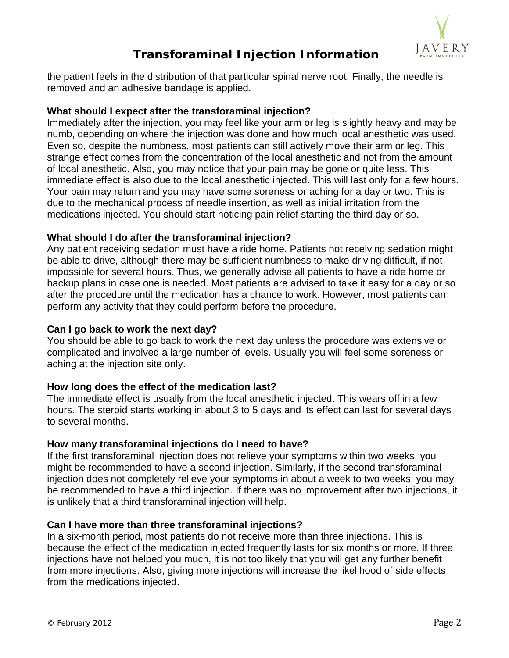

# **Transforaminal Injection Information**

the patient feels in the distribution of that particular spinal nerve root. Finally, the needle is removed and an adhesive bandage is applied.

# **What should I expect after the transforaminal injection?**

Immediately after the injection, you may feel like your arm or leg is slightly heavy and may be numb, depending on where the injection was done and how much local anesthetic was used. Even so, despite the numbness, most patients can still actively move their arm or leg. This strange effect comes from the concentration of the local anesthetic and not from the amount of local anesthetic. Also, you may notice that your pain may be gone or quite less. This immediate effect is also due to the local anesthetic injected. This will last only for a few hours. Your pain may return and you may have some soreness or aching for a day or two. This is due to the mechanical process of needle insertion, as well as initial irritation from the medications injected. You should start noticing pain relief starting the third day or so.

# **What should I do after the transforaminal injection?**

Any patient receiving sedation must have a ride home. Patients not receiving sedation might be able to drive, although there may be sufficient numbness to make driving difficult, if not impossible for several hours. Thus, we generally advise all patients to have a ride home or backup plans in case one is needed. Most patients are advised to take it easy for a day or so after the procedure until the medication has a chance to work. However, most patients can perform any activity that they could perform before the procedure.

# **Can I go back to work the next day?**

You should be able to go back to work the next day unless the procedure was extensive or complicated and involved a large number of levels. Usually you will feel some soreness or aching at the injection site only.

# **How long does the effect of the medication last?**

The immediate effect is usually from the local anesthetic injected. This wears off in a few hours. The steroid starts working in about 3 to 5 days and its effect can last for several days to several months.

# **How many transforaminal injections do I need to have?**

If the first transforaminal injection does not relieve your symptoms within two weeks, you might be recommended to have a second injection. Similarly, if the second transforaminal injection does not completely relieve your symptoms in about a week to two weeks, you may be recommended to have a third injection. If there was no improvement after two injections, it is unlikely that a third transforaminal injection will help.

# **Can I have more than three transforaminal injections?**

In a six-month period, most patients do not receive more than three injections. This is because the effect of the medication injected frequently lasts for six months or more. If three injections have not helped you much, it is not too likely that you will get any further benefit from more injections. Also, giving more injections will increase the likelihood of side effects from the medications injected.